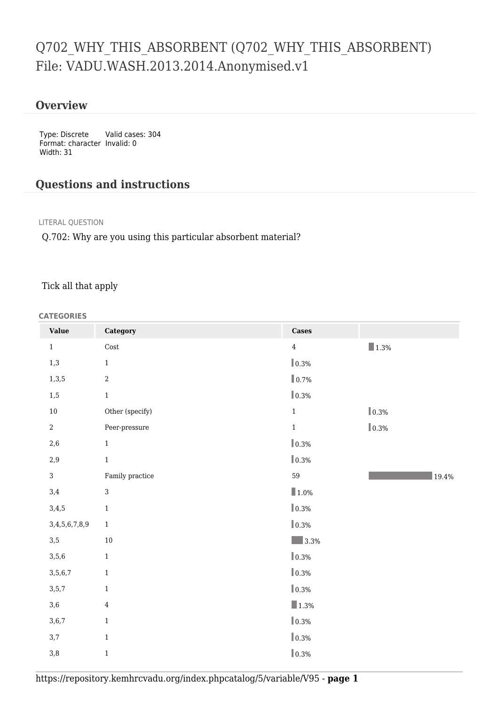# Q702\_WHY\_THIS\_ABSORBENT (Q702\_WHY\_THIS\_ABSORBENT) File: VADU.WASH.2013.2014.Anonymised.v1

### **Overview**

Type: Discrete Format: character Invalid: 0 Width: 31 Valid cases: 304

## **Questions and instructions**

#### LITERAL QUESTION

Q.702: Why are you using this particular absorbent material?

#### Tick all that apply

#### **CATEGORIES**

| <b>Value</b>   | Category            | <b>Cases</b>           |                     |
|----------------|---------------------|------------------------|---------------------|
| $\mathbf{1}$   | $\mathop{\rm Cost}$ | $\overline{4}$         | $\blacksquare$ 1.3% |
| $1,3$          | $1\,$               | $\ $ 0.3%              |                     |
| 1,3,5          | $\overline{2}$      | $\ $ 0.7%              |                     |
| $1,5$          | $1\,$               | $\ $ 0.3%              |                     |
| $10\,$         | Other (specify)     | $\mathbf{1}$           | $\ 0.3\%$           |
| $\overline{a}$ | Peer-pressure       | $\mathbf{1}$           | $\ $ 0.3%           |
| $2,6$          | $\mathbf 1$         | $\vert\!\vert$ 0.3%    |                     |
| $2,9$          | $\,1\,$             | $\ $ 0.3%              |                     |
| $\mathbf{3}$   | Family practice     | 59                     | 19.4%               |
| 3,4            | 3                   | $\blacksquare$ 1.0%    |                     |
| 3,4,5          | $\,1\,$             | $\ $ 0.3%              |                     |
| 3,4,5,6,7,8,9  | $1\,$               | $\ $ 0.3%              |                     |
| $3,5$          | $10\,$              | 3.3%                   |                     |
| 3,5,6          | $\,1\,$             | $\vert\!\vert\,0.3\%$  |                     |
| 3,5,6,7        | $\,1\,$             | $\ $ 0.3%              |                     |
| 3, 5, 7        | $\mathbf{1}$        | $\vert\!\vert_{0.3\%}$ |                     |
| 3,6            | $\overline{4}$      | $\blacksquare$ 1.3%    |                     |
| 3,6,7          | $1\,$               | $ 0.3\%$               |                     |
| $3,7$          | $\,1\,$             | $\ $ 0.3%              |                     |
| $3,8$          | $\,1$               | $\ $ 0.3%              |                     |